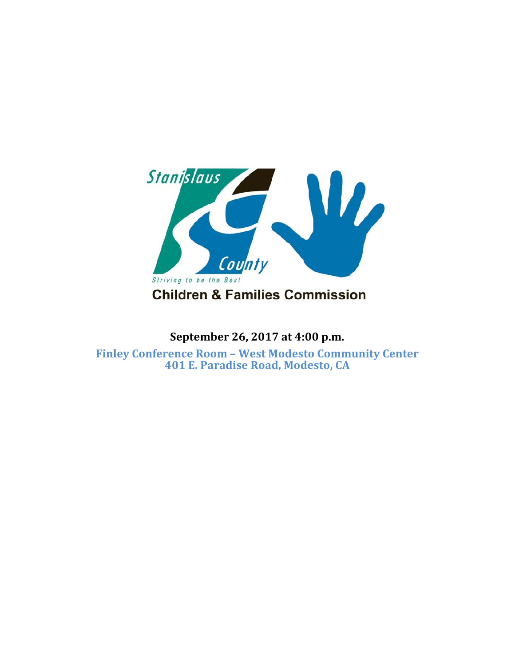

### **September 26, 2017 at 4:00 p.m.**

**Finley Conference Room – West Modesto Community Center 401 E. Paradise Road, Modesto, CA**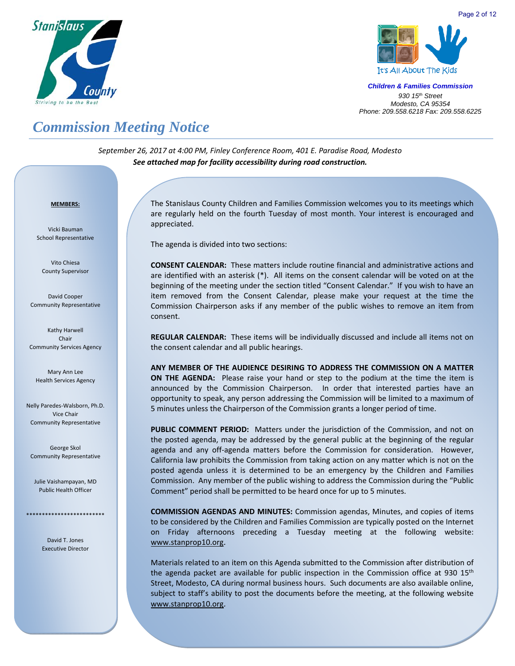



# *Commission Meeting Notice*

*September 26, 2017 at 4:00 PM, Finley Conference Room, 401 E. Paradise Road, Modesto See attached map for facility accessibility during road construction.*

#### <sup>U</sup>**MEMBERS:**

Vicki Bauman School Representative

Vito Chiesa County Supervisor

David Cooper Community Representative

Kathy Harwell Chair Community Services Agency

Mary Ann Lee Health Services Agency

Nelly Paredes‐Walsborn, Ph.D. Vice Chair Community Representative

George Skol Community Representative

Julie Vaishampayan, MD Public Health Officer

> David T. Jones Executive Director

\*\*\*\*\*\*\*\*\*\*\*\*\*\*\*\*\*\*\*\*\*\*\*\*\*

The Stanislaus County Children and Families Commission welcomes you to its meetings which are regularly held on the fourth Tuesday of most month. Your interest is encouraged and appreciated.

The agenda is divided into two sections:

**CONSENT CALENDAR:** These matters include routine financial and administrative actions and are identified with an asterisk (\*). All items on the consent calendar will be voted on at the beginning of the meeting under the section titled "Consent Calendar." If you wish to have an item removed from the Consent Calendar, please make your request at the time the Commission Chairperson asks if any member of the public wishes to remove an item from consent.

**REGULAR CALENDAR:** These items will be individually discussed and include all items not on the consent calendar and all public hearings.

**ANY MEMBER OF THE AUDIENCE DESIRING TO ADDRESS THE COMMISSION ON A MATTER ON THE AGENDA:** Please raise your hand or step to the podium at the time the item is announced by the Commission Chairperson. In order that interested parties have an opportunity to speak, any person addressing the Commission will be limited to a maximum of 5 minutes unless the Chairperson of the Commission grants a longer period of time.

PUBLIC COMMENT PERIOD: Matters under the jurisdiction of the Commission, and not on the posted agenda, may be addressed by the general public at the beginning of the regular agenda and any off-agenda matters before the Commission for consideration. However, California law prohibits the Commission from taking action on any matter which is not on the posted agenda unless it is determined to be an emergency by the Children and Families Commission. Any member of the public wishing to address the Commission during the "Public Comment" period shall be permitted to be heard once for up to 5 minutes.

**COMMISSION AGENDAS AND MINUTES:** Commission agendas, Minutes, and copies of items to be considered by the Children and Families Commission are typically posted on the Internet on Friday afternoons preceding a Tuesday meeting at the following website: www.stanprop10.org.

Materials related to an item on this Agenda submitted to the Commission after distribution of the agenda packet are available for public inspection in the Commission office at 930  $15<sup>th</sup>$ Street, Modesto, CA during normal business hours. Such documents are also available online, subject to staff's ability to post the documents before the meeting, at the following website www.stanprop10.org.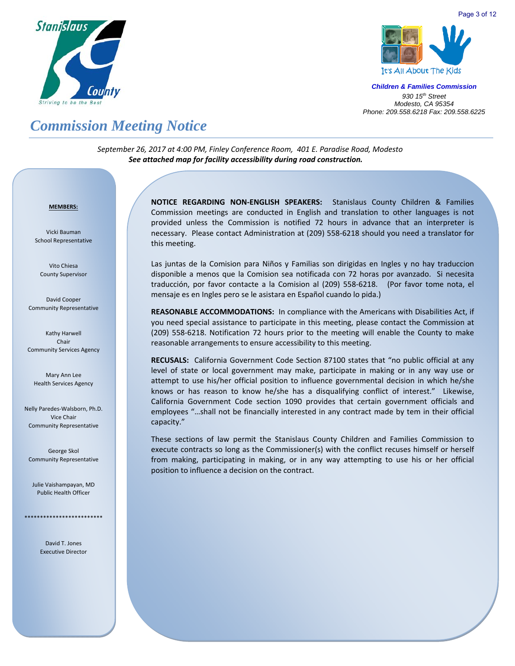



Page 3 of 12

*Children & Families Commission 930 15th Street Modesto, CA 95354 Phone: 209.558.6218 Fax: 209.558.6225*

# *Commission Meeting Notice*

*September 26, 2017 at 4:00 PM, Finley Conference Room, 401 E. Paradise Road, Modesto See attached map for facility accessibility during road construction.*

#### <sup>U</sup>**MEMBERS:**

Vicki Bauman School Representative

Vito Chiesa County Supervisor

David Cooper Community Representative

Kathy Harwell Chair Community Services Agency

Mary Ann Lee Health Services Agency

Nelly Paredes‐Walsborn, Ph.D. Vice Chair Community Representative

George Skol Community Representative

Julie Vaishampayan, MD Public Health Officer

\*\*\*\*\*\*\*\*\*\*\*\*\*\*\*\*\*\*\*\*\*\*\*\*\*

David T. Jones Executive Director **NOTICE REGARDING NON‐ENGLISH SPEAKERS:** Stanislaus County Children & Families Commission meetings are conducted in English and translation to other languages is not provided unless the Commission is notified 72 hours in advance that an interpreter is necessary. Please contact Administration at (209) 558‐6218 should you need a translator for this meeting.

Las juntas de la Comision para Niños y Familias son dirigidas en Ingles y no hay traduccion disponible a menos que la Comision sea notificada con 72 horas por avanzado. Si necesita traducción, por favor contacte a la Comision al (209) 558‐6218. (Por favor tome nota, el mensaje es en Ingles pero se le asistara en Español cuando lo pida.)

**REASONABLE ACCOMMODATIONS:** In compliance with the Americans with Disabilities Act, if you need special assistance to participate in this meeting, please contact the Commission at (209) 558‐6218. Notification 72 hours prior to the meeting will enable the County to make reasonable arrangements to ensure accessibility to this meeting.

RECUSALS: California Government Code Section 87100 states that "no public official at any level of state or local government may make, participate in making or in any way use or attempt to use his/her official position to influence governmental decision in which he/she knows or has reason to know he/she has a disqualifying conflict of interest." Likewise, California Government Code section 1090 provides that certain government officials and employees "…shall not be financially interested in any contract made by tem in their official capacity."

These sections of law permit the Stanislaus County Children and Families Commission to execute contracts so long as the Commissioner(s) with the conflict recuses himself or herself from making, participating in making, or in any way attempting to use his or her official position to influence a decision on the contract.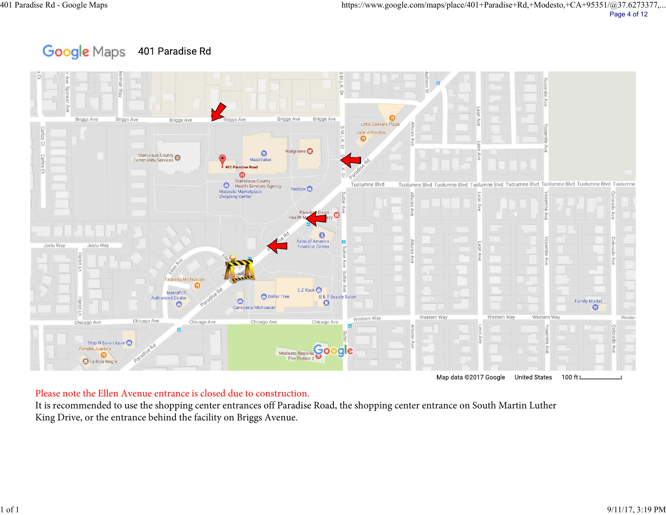### Google Maps 401 Paradise Rd



### Please note the Ellen Avenue entrance is closed due to construction.

It is recommended to use the shopping center entrances off Paradise Road, the shopping center entrance on South Martin Luther King Drive, or the entrance behind the facility on Briggs Avenue.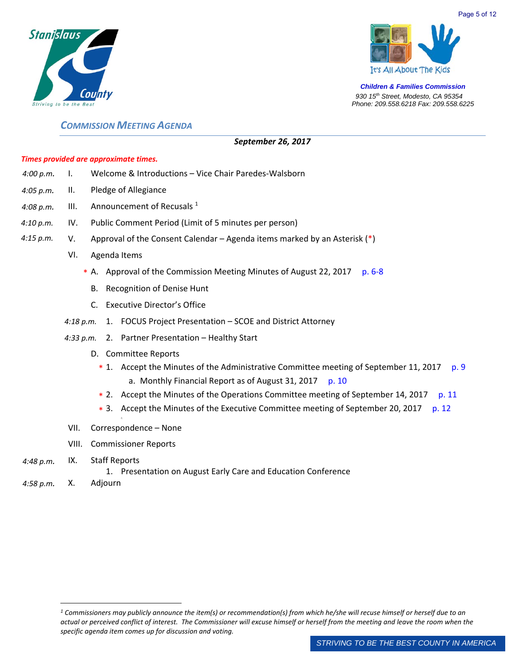



### *COMMISSION MEETING AGENDA*

### *September 26, 2017*

### *Times provided are approximate times.*

| 4:00 p.m. |  | Welcome & Introductions – Vice Chair Paredes-Walsborn |
|-----------|--|-------------------------------------------------------|
|-----------|--|-------------------------------------------------------|

- *4:05 p.m.*  II. Pledge of Allegiance
- *4:08 p.m.*  III. Announcement of Recusals  $1$
- *4:10 p.m.*  IV. Public Comment Period (Limit of 5 minutes per person)
- *4:15 p.m.* V. Approval of the Consent Calendar – Agenda items marked by an Asterisk  $(*)$ 
	- VI. Agenda Items
		- \* A. Approval of the Commission Meeting Minutes of August 22, 2017 p. 6-8
			- B. Recognition of Denise Hunt
			- C. Executive Director's Office
	- *4:18 p.m.*  1. FOCUS Project Presentation SCOE and District Attorney
	- *4:33 p.m.*  2. Partner Presentation Healthy Start
		- D. Committee Reports
			- \* 1. Accept the Minutes of the Administrative Committee meeting of September 11, 2017 p. 9 a. Monthly Financial Report as of August 31, 2017  $p. 10$
			- \* 2. Accept the Minutes of the Operations Committee meeting of September 14, 2017 p. 11
			- \* 3. Accept the Minutes of the Executive Committee meeting of September 20, 2017 p. 12
	- J; VII. Correspondence – None
	- VIII. Commissioner Reports
- *4:48 p.m.*  IX. Staff Reports

1. Presentation on August Early Care and Education Conference

*4:58 p.m.* X. Adjourn

*<sup>1</sup> Commissioners may publicly announce the item(s) or recommendation(s) from which he/she will recuse himself or herself due to an actual or perceived conflict of interest. The Commissioner will excuse himself or herself from the meeting and leave the room when the specific agenda item comes up for discussion and voting.*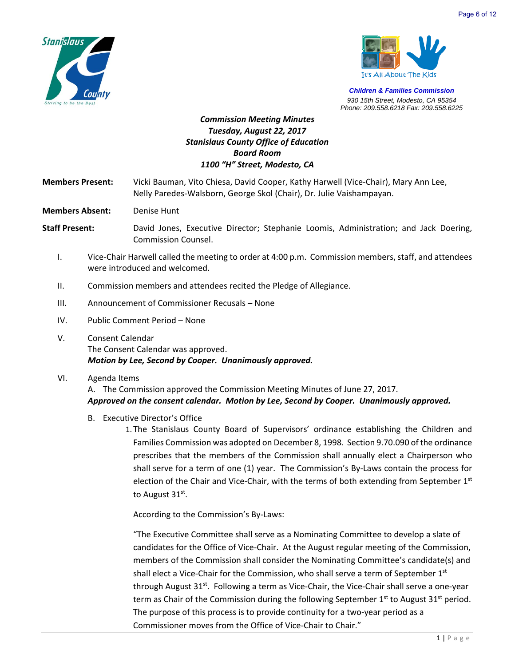



### *Commission Meeting Minutes Tuesday, August 22, 2017 Stanislaus County Office of Education Board Room 1100 "H" Street, Modesto, CA*

**Members Present:**  Vicki Bauman, Vito Chiesa, David Cooper, Kathy Harwell (Vice‐Chair), Mary Ann Lee, Nelly Paredes‐Walsborn, George Skol (Chair), Dr. Julie Vaishampayan.

**Members Absent:** Denise Hunt

**Staff Present:** David Jones, Executive Director; Stephanie Loomis, Administration; and Jack Doering, Commission Counsel.

- I. Vice‐Chair Harwell called the meeting to order at 4:00 p.m. Commission members, staff, and attendees were introduced and welcomed.
- II. Commission members and attendees recited the Pledge of Allegiance.
- III. Announcement of Commissioner Recusals None
- IV. Public Comment Period None
- V. Consent Calendar The Consent Calendar was approved. *Motion by Lee, Second by Cooper. Unanimously approved.*
- VI. Agenda Items

A. The Commission approved the Commission Meeting Minutes of June 27, 2017. *Approved on the consent calendar. Motion by Lee, Second by Cooper. Unanimously approved.*

- B. Executive Director's Office
	- 1. The Stanislaus County Board of Supervisors' ordinance establishing the Children and Families Commission was adopted on December 8, 1998. Section 9.70.090 of the ordinance prescribes that the members of the Commission shall annually elect a Chairperson who shall serve for a term of one (1) year. The Commission's By-Laws contain the process for election of the Chair and Vice-Chair, with the terms of both extending from September 1<sup>st</sup> to August 31<sup>st</sup>.

According to the Commission's By‐Laws:

"The Executive Committee shall serve as a Nominating Committee to develop a slate of candidates for the Office of Vice‐Chair. At the August regular meeting of the Commission, members of the Commission shall consider the Nominating Committee's candidate(s) and shall elect a Vice-Chair for the Commission, who shall serve a term of September 1<sup>st</sup> through August 31<sup>st</sup>. Following a term as Vice-Chair, the Vice-Chair shall serve a one-year term as Chair of the Commission during the following September  $1^{st}$  to August 31<sup>st</sup> period. The purpose of this process is to provide continuity for a two-year period as a Commissioner moves from the Office of Vice‐Chair to Chair."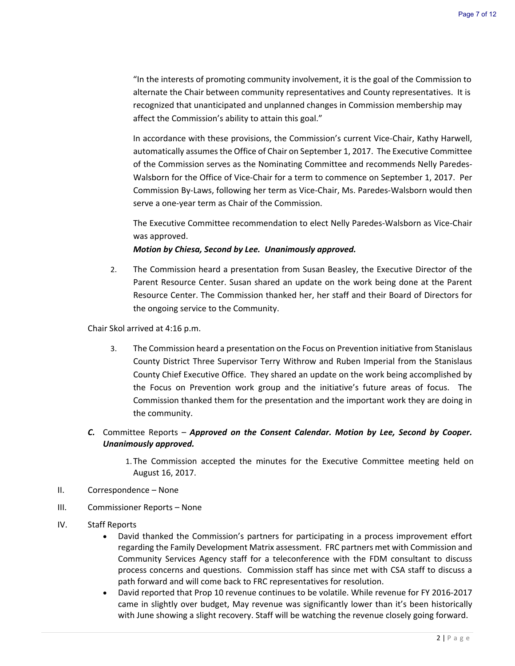"In the interests of promoting community involvement, it is the goal of the Commission to alternate the Chair between community representatives and County representatives. It is recognized that unanticipated and unplanned changes in Commission membership may affect the Commission's ability to attain this goal."

In accordance with these provisions, the Commission's current Vice-Chair, Kathy Harwell, automatically assumes the Office of Chair on September 1, 2017. The Executive Committee of the Commission serves as the Nominating Committee and recommends Nelly Paredes‐ Walsborn for the Office of Vice-Chair for a term to commence on September 1, 2017. Per Commission By‐Laws, following her term as Vice‐Chair, Ms. Paredes‐Walsborn would then serve a one‐year term as Chair of the Commission.

The Executive Committee recommendation to elect Nelly Paredes‐Walsborn as Vice‐Chair was approved.

*Motion by Chiesa, Second by Lee. Unanimously approved.*

2. The Commission heard a presentation from Susan Beasley, the Executive Director of the Parent Resource Center. Susan shared an update on the work being done at the Parent Resource Center. The Commission thanked her, her staff and their Board of Directors for the ongoing service to the Community.

Chair Skol arrived at 4:16 p.m.

- 3. The Commission heard a presentation on the Focus on Prevention initiative from Stanislaus County District Three Supervisor Terry Withrow and Ruben Imperial from the Stanislaus County Chief Executive Office. They shared an update on the work being accomplished by the Focus on Prevention work group and the initiative's future areas of focus. The Commission thanked them for the presentation and the important work they are doing in the community.
- *C.* Committee Reports *Approved on the Consent Calendar. Motion by Lee, Second by Cooper. Unanimously approved.* 
	- 1. The Commission accepted the minutes for the Executive Committee meeting held on August 16, 2017.
- II. Correspondence None
- III. Commissioner Reports None
- IV. Staff Reports
	- David thanked the Commission's partners for participating in a process improvement effort regarding the Family Development Matrix assessment. FRC partners met with Commission and Community Services Agency staff for a teleconference with the FDM consultant to discuss process concerns and questions. Commission staff has since met with CSA staff to discuss a path forward and will come back to FRC representatives for resolution.
	- David reported that Prop 10 revenue continues to be volatile. While revenue for FY 2016‐2017 came in slightly over budget, May revenue was significantly lower than it's been historically with June showing a slight recovery. Staff will be watching the revenue closely going forward.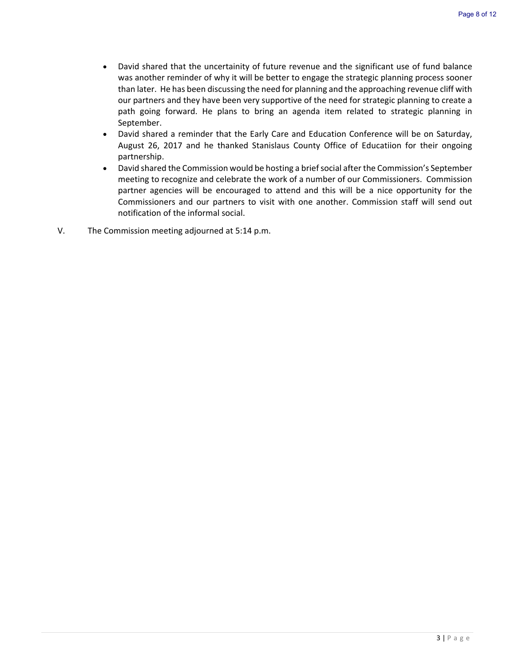- David shared that the uncertainity of future revenue and the significant use of fund balance was another reminder of why it will be better to engage the strategic planning process sooner than later. He has been discussing the need for planning and the approaching revenue cliff with our partners and they have been very supportive of the need for strategic planning to create a path going forward. He plans to bring an agenda item related to strategic planning in September.
- David shared a reminder that the Early Care and Education Conference will be on Saturday, August 26, 2017 and he thanked Stanislaus County Office of Educatiion for their ongoing partnership.
- David shared the Commission would be hosting a brief social after the Commission's September meeting to recognize and celebrate the work of a number of our Commissioners. Commission partner agencies will be encouraged to attend and this will be a nice opportunity for the Commissioners and our partners to visit with one another. Commission staff will send out notification of the informal social.
- V. The Commission meeting adjourned at 5:14 p.m.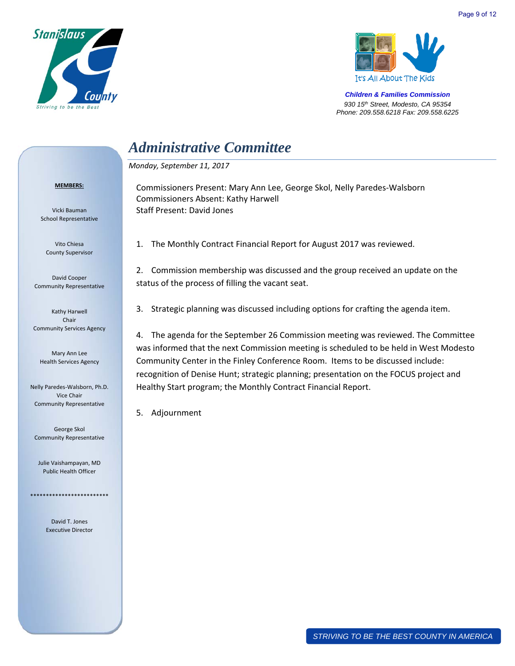



## *Administrative Committee*

Commissioners Absent: Kathy Harwell

*Monday, September 11, 2017* 

Staff Present: David Jones

#### **MEMBERS:**

Vicki Bauman School Representative

Vito Chiesa County Supervisor

David Cooper Community Representative

Kathy Harwell Chair Community Services Agency

Mary Ann Lee Health Services Agency

Nelly Paredes‐Walsborn, Ph.D. Vice Chair Community Representative

George Skol Community Representative

Julie Vaishampayan, MD Public Health Officer

\*\*\*\*\*\*\*\*\*\*\*\*\*\*\*\*\*\*\*\*\*\*\*\*\*

David T. Jones Executive Director 1. The Monthly Contract Financial Report for August 2017 was reviewed.

Commissioners Present: Mary Ann Lee, George Skol, Nelly Paredes‐Walsborn

2. Commission membership was discussed and the group received an update on the status of the process of filling the vacant seat.

3. Strategic planning was discussed including options for crafting the agenda item.

4. The agenda for the September 26 Commission meeting was reviewed. The Committee was informed that the next Commission meeting is scheduled to be held in West Modesto Community Center in the Finley Conference Room. Items to be discussed include: recognition of Denise Hunt; strategic planning; presentation on the FOCUS project and Healthy Start program; the Monthly Contract Financial Report.

5. Adjournment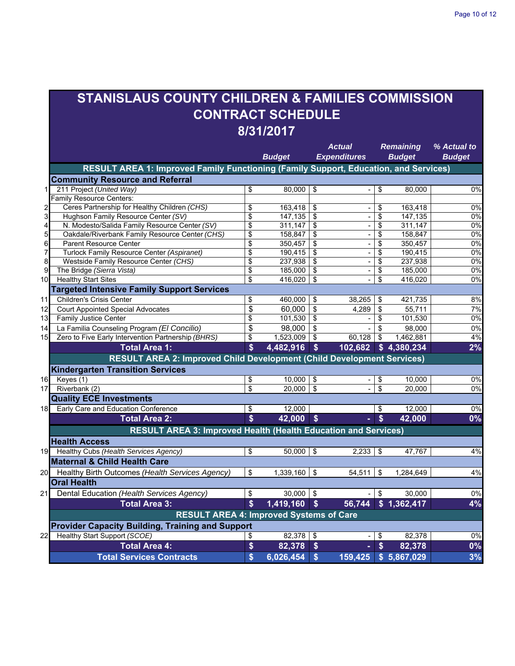# **STANISLAUS COUNTY CHILDREN & FAMILIES COMMISSION CONTRACT SCHEDULE 8/31/2017**

|                         |                                                                                      |              | <b>Budget</b> | <b>Actual</b><br><b>Expenditures</b> |                          | <b>Remaining</b><br><b>Budget</b> |                      | % Actual to<br><b>Budget</b> |  |  |  |
|-------------------------|--------------------------------------------------------------------------------------|--------------|---------------|--------------------------------------|--------------------------|-----------------------------------|----------------------|------------------------------|--|--|--|
|                         | RESULT AREA 1: Improved Family Functioning (Family Support, Education, and Services) |              |               |                                      |                          |                                   |                      |                              |  |  |  |
|                         | <b>Community Resource and Referral</b>                                               |              |               |                                      |                          |                                   |                      |                              |  |  |  |
| 1                       | 211 Project (United Way)                                                             | \$           | 80,000        | $\overline{\$}$                      | ÷,                       | \$                                | 80,000               | 0%                           |  |  |  |
|                         | <b>Family Resource Centers:</b>                                                      |              |               |                                      |                          |                                   |                      |                              |  |  |  |
| $\overline{\mathbf{c}}$ | Ceres Partnership for Healthy Children (CHS)                                         | \$           | 163,418       | \$                                   |                          | \$                                | 163,418              | $0\%$                        |  |  |  |
| 3                       | Hughson Family Resource Center (SV)                                                  | \$           | 147,135       | \$                                   | ÷,                       | \$                                | 147,135              | 0%                           |  |  |  |
| 4                       | N. Modesto/Salida Family Resource Center (SV)                                        | \$           | 311,147       | \$                                   | $\blacksquare$           | \$                                | 311,147              | 0%                           |  |  |  |
| 5                       | Oakdale/Riverbank Family Resource Center (CHS)                                       | \$           | 158,847       | \$                                   | ÷                        | \$                                | 158,847              | 0%                           |  |  |  |
| 6                       | <b>Parent Resource Center</b>                                                        | \$           | 350,457       | \$                                   | ÷,                       | \$                                | 350,457              | 0%                           |  |  |  |
| 7                       | Turlock Family Resource Center (Aspiranet)                                           | \$           | 190,415       | \$                                   | $\overline{a}$           | \$                                | 190,415              | $0\%$                        |  |  |  |
| 8                       | Westside Family Resource Center (CHS)                                                | \$           | 237,938       | \$                                   | ÷,                       | \$                                | 237,938              | 0%                           |  |  |  |
| $\overline{9}$          | The Bridge (Sierra Vista)                                                            | \$           | 185,000       | \$                                   | ÷,                       | \$                                | 185,000              | 0%                           |  |  |  |
| 10                      | <b>Healthy Start Sites</b>                                                           | \$           | 416,020       | \$                                   |                          | \$                                | 416,020              | 0%                           |  |  |  |
|                         | <b>Targeted Intensive Family Support Services</b>                                    |              |               |                                      |                          |                                   |                      |                              |  |  |  |
| 11                      | <b>Children's Crisis Center</b>                                                      | \$           | 460,000       | \$                                   | 38,265                   | \$                                | 421,735              | 8%                           |  |  |  |
| 12                      | <b>Court Appointed Special Advocates</b>                                             | \$           | 60,000        | \$                                   | 4.289                    | \$                                | 55,711               | 7%                           |  |  |  |
| 13                      | <b>Family Justice Center</b>                                                         | \$           | 101,530       | \$                                   |                          | \$                                | 101,530              | 0%                           |  |  |  |
| 14                      | La Familia Counseling Program (El Concilio)                                          | \$           | 98,000        | \$                                   |                          | \$                                | 98,000               | 0%                           |  |  |  |
| 15                      | Zero to Five Early Intervention Partnership (BHRS)                                   | \$           | 1,523,009     | \$                                   | 60,128                   | \$                                | 1,462,881            | 4%                           |  |  |  |
|                         | <b>Total Area 1:</b>                                                                 | \$           | 4,482,916     | \$                                   | 102,682                  |                                   | \$4,380,234          | 2%                           |  |  |  |
|                         | RESULT AREA 2: Improved Child Development (Child Development Services)               |              |               |                                      |                          |                                   |                      |                              |  |  |  |
|                         | <b>Kindergarten Transition Services</b>                                              |              |               |                                      |                          |                                   |                      |                              |  |  |  |
| 16                      | Keyes (1)                                                                            | \$           | 10,000        | \$                                   | $\overline{\phantom{a}}$ | \$                                | 10.000               | 0%                           |  |  |  |
| 17                      | Riverbank (2)                                                                        | \$           | 20,000        | \$                                   | $\overline{\phantom{a}}$ | \$                                | 20.000               | 0%                           |  |  |  |
|                         | <b>Quality ECE Investments</b>                                                       |              |               |                                      |                          |                                   |                      |                              |  |  |  |
| 18                      | Early Care and Education Conference                                                  | \$           | 12,000        |                                      |                          | \$                                | 12,000               | 0%                           |  |  |  |
|                         | <b>Total Area 2:</b>                                                                 | \$           | 42,000        | $\boldsymbol{\mathsf{s}}$            | ÷.                       | $\boldsymbol{\hat{s}}$            | 42,000               | 0%                           |  |  |  |
|                         | <b>RESULT AREA 3: Improved Health (Health Education and Services)</b>                |              |               |                                      |                          |                                   |                      |                              |  |  |  |
|                         | <b>Health Access</b>                                                                 |              |               |                                      |                          |                                   |                      |                              |  |  |  |
| 19                      | Healthy Cubs (Health Services Agency)                                                | \$           | 50,000        | \$                                   | 2,233                    | \$                                | 47.767               | 4%                           |  |  |  |
|                         | <b>Maternal &amp; Child Health Care</b>                                              |              |               |                                      |                          |                                   |                      |                              |  |  |  |
|                         | 20 Healthy Birth Outcomes (Health Services Agency)                                   | \$           | 1,339,160     | \$                                   | 54,511                   | \$                                | 1,284,649            | 4%                           |  |  |  |
|                         | <b>Oral Health</b>                                                                   |              |               |                                      |                          |                                   |                      |                              |  |  |  |
| 21                      | Dental Education (Health Services Agency)                                            | \$           | 30,000        | $\sqrt[6]{\frac{1}{2}}$              |                          | \$                                | 30,000               | 0%                           |  |  |  |
|                         | <b>Total Area 3:</b>                                                                 | $\mathbf{s}$ | 1,419,160     | \$                                   | 56,744                   |                                   | \$1,362,417          | 4%                           |  |  |  |
|                         | <b>RESULT AREA 4: Improved Systems of Care</b>                                       |              |               |                                      |                          |                                   |                      |                              |  |  |  |
|                         | <b>Provider Capacity Building, Training and Support</b>                              |              |               |                                      |                          |                                   |                      |                              |  |  |  |
| 22                      | Healthy Start Support (SCOE)                                                         | \$           | 82,378        | \$                                   | $\overline{\phantom{a}}$ | \$                                | 82,378               | 0%                           |  |  |  |
|                         | <b>Total Area 4:</b>                                                                 | \$           | 82,378        | $\boldsymbol{\$}$                    |                          | $\boldsymbol{\$}$                 | 82,378               | $0\%$                        |  |  |  |
|                         | <b>Total Services Contracts</b>                                                      | \$           | 6,026,454     | $\overline{\mathbf{s}}$              |                          |                                   | 159,425 \$ 5,867,029 | 3%                           |  |  |  |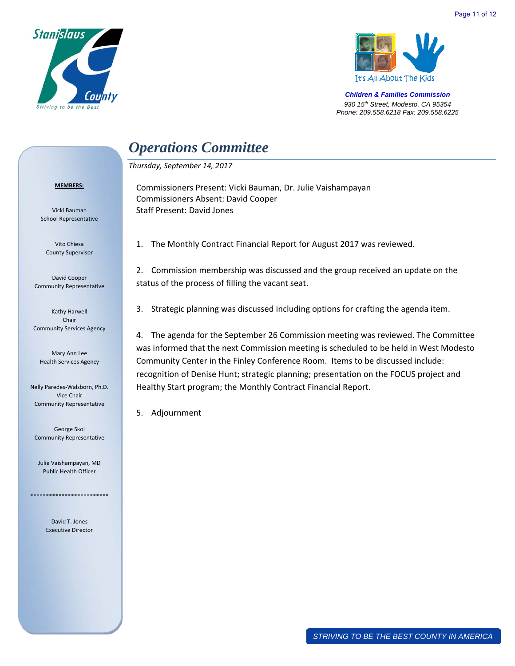



# *Operations Committee*

Commissioners Absent: David Cooper

*Thursday, September 14, 2017* 

Staff Present: David Jones

#### **MEMBERS:**

Vicki Bauman School Representative

Vito Chiesa County Supervisor

David Cooper Community Representative

Kathy Harwell Chair Community Services Agency

Mary Ann Lee Health Services Agency

Nelly Paredes‐Walsborn, Ph.D. Vice Chair Community Representative

George Skol Community Representative

Julie Vaishampayan, MD Public Health Officer

\*\*\*\*\*\*\*\*\*\*\*\*\*\*\*\*\*\*\*\*\*\*\*\*\*

David T. Jones Executive Director 1. The Monthly Contract Financial Report for August 2017 was reviewed.

Commissioners Present: Vicki Bauman, Dr. Julie Vaishampayan

2. Commission membership was discussed and the group received an update on the status of the process of filling the vacant seat.

3. Strategic planning was discussed including options for crafting the agenda item.

4. The agenda for the September 26 Commission meeting was reviewed. The Committee was informed that the next Commission meeting is scheduled to be held in West Modesto Community Center in the Finley Conference Room. Items to be discussed include: recognition of Denise Hunt; strategic planning; presentation on the FOCUS project and Healthy Start program; the Monthly Contract Financial Report.

5. Adjournment